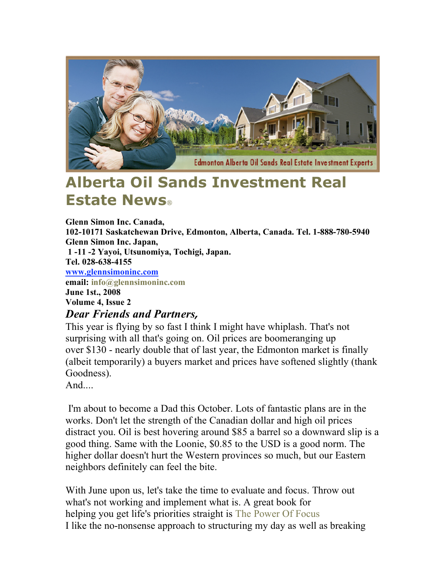

# **Alberta Oil Sands Investment Real Estate News**

**Glenn Simon Inc. Canada, 102-10171 Saskatchewan Drive, Edmonton, Alberta, Canada. Tel. 1-888-780-5940 Glenn Simon Inc. Japan, 1 -11 -2 Yayoi, Utsunomiya, Tochigi, Japan. Tel. 028-638-4155 www.glennsimoninc.com email: info@glennsimoninc.com June 1st., 2008 Volume 4, Issue 2** *Dear Friends and Partners,*

This year is flying by so fast I think I might have whiplash. That's not surprising with all that's going on. Oil prices are boomeranging up over \$130 - nearly double that of last year, the Edmonton market is finally (albeit temporarily) a buyers market and prices have softened slightly (thank Goodness).

And....

I'm about to become a Dad this October. Lots of fantastic plans are in the works. Don't let the strength of the Canadian dollar and high oil prices distract you. Oil is best hovering around \$85 a barrel so a downward slip is a good thing. Same with the Loonie, \$0.85 to the USD is a good norm. The higher dollar doesn't hurt the Western provinces so much, but our Eastern neighbors definitely can feel the bite.

With June upon us, let's take the time to evaluate and focus. Throw out what's not working and implement what is. A great book for helping you get life's priorities straight is The Power Of Focus I like the no-nonsense approach to structuring my day as well as breaking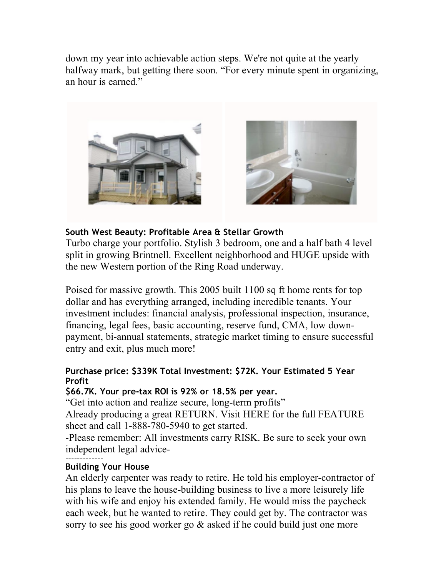down my year into achievable action steps. We're not quite at the yearly halfway mark, but getting there soon. "For every minute spent in organizing, an hour is earned."



## **South West Beauty: Profitable Area & Stellar Growth**

Turbo charge your portfolio. Stylish 3 bedroom, one and a half bath 4 level split in growing Brintnell. Excellent neighborhood and HUGE upside with the new Western portion of the Ring Road underway.

Poised for massive growth. This 2005 built 1100 sq ft home rents for top dollar and has everything arranged, including incredible tenants. Your investment includes: financial analysis, professional inspection, insurance, financing, legal fees, basic accounting, reserve fund, CMA, low downpayment, bi-annual statements, strategic market timing to ensure successful entry and exit, plus much more!

### **Purchase price: \$339K Total Investment: \$72K. Your Estimated 5 Year Profit**

#### **\$66.7K. Your pre-tax ROI is 92% or 18.5% per year.**

"Get into action and realize secure, long-term profits"

Already producing a great RETURN. Visit HERE for the full FEATURE sheet and call 1-888-780-5940 to get started.

-Please remember: All investments carry RISK. Be sure to seek your own independent legal advice-

#### ============= **Building Your House**

An elderly carpenter was ready to retire. He told his employer-contractor of his plans to leave the house-building business to live a more leisurely life with his wife and enjoy his extended family. He would miss the paycheck each week, but he wanted to retire. They could get by. The contractor was sorry to see his good worker go & asked if he could build just one more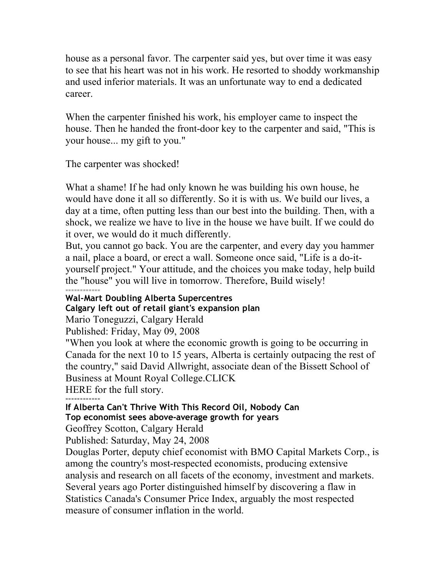house as a personal favor. The carpenter said yes, but over time it was easy to see that his heart was not in his work. He resorted to shoddy workmanship and used inferior materials. It was an unfortunate way to end a dedicated career.

When the carpenter finished his work, his employer came to inspect the house. Then he handed the front-door key to the carpenter and said, "This is your house... my gift to you."

The carpenter was shocked!

What a shame! If he had only known he was building his own house, he would have done it all so differently. So it is with us. We build our lives, a day at a time, often putting less than our best into the building. Then, with a shock, we realize we have to live in the house we have built. If we could do it over, we would do it much differently.

But, you cannot go back. You are the carpenter, and every day you hammer a nail, place a board, or erect a wall. Someone once said, "Life is a do-ityourself project." Your attitude, and the choices you make today, help build the "house" you will live in tomorrow. Therefore, Build wisely!

============ **Wal-Mart Doubling Alberta Supercentres Calgary left out of retail giant's expansion plan**

Mario Toneguzzi, Calgary Herald

Published: Friday, May 09, 2008

"When you look at where the economic growth is going to be occurring in Canada for the next 10 to 15 years, Alberta is certainly outpacing the rest of the country," said David Allwright, associate dean of the Bissett School of Business at Mount Royal College.CLICK

HERE for the full story.

============ **If Alberta Can't Thrive With This Record Oil, Nobody Can**

**Top economist sees above-average growth for years**

Geoffrey Scotton, Calgary Herald

Published: Saturday, May 24, 2008

Douglas Porter, deputy chief economist with BMO Capital Markets Corp., is among the country's most-respected economists, producing extensive analysis and research on all facets of the economy, investment and markets. Several years ago Porter distinguished himself by discovering a flaw in Statistics Canada's Consumer Price Index, arguably the most respected measure of consumer inflation in the world.